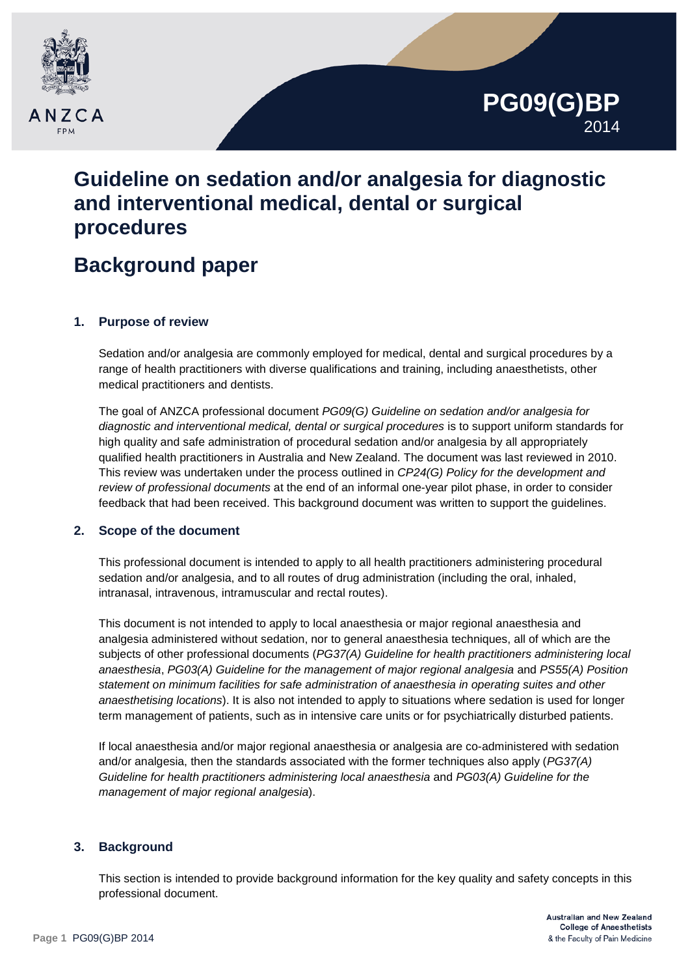



# **Guideline on sedation and/or analgesia for diagnostic and interventional medical, dental or surgical procedures**

# **Background paper**

### **1. Purpose of review**

Sedation and/or analgesia are commonly employed for medical, dental and surgical procedures by a range of health practitioners with diverse qualifications and training, including anaesthetists, other medical practitioners and dentists.

The goal of ANZCA professional document *PG09(G) Guideline on sedation and/or analgesia for diagnostic and interventional medical, dental or surgical procedures* is to support uniform standards for high quality and safe administration of procedural sedation and/or analgesia by all appropriately qualified health practitioners in Australia and New Zealand. The document was last reviewed in 2010. This review was undertaken under the process outlined in *CP24(G) Policy for the development and review of professional documents* at the end of an informal one-year pilot phase, in order to consider feedback that had been received. This background document was written to support the guidelines.

### **2. Scope of the document**

This professional document is intended to apply to all health practitioners administering procedural sedation and/or analgesia, and to all routes of drug administration (including the oral, inhaled, intranasal, intravenous, intramuscular and rectal routes).

This document is not intended to apply to local anaesthesia or major regional anaesthesia and analgesia administered without sedation, nor to general anaesthesia techniques, all of which are the subjects of other professional documents (*PG37(A) Guideline for health practitioners administering local anaesthesia*, *PG03(A) Guideline for the management of major regional analgesia* and *PS55(A) Position statement on minimum facilities for safe administration of anaesthesia in operating suites and other anaesthetising locations*). It is also not intended to apply to situations where sedation is used for longer term management of patients, such as in intensive care units or for psychiatrically disturbed patients.

If local anaesthesia and/or major regional anaesthesia or analgesia are co-administered with sedation and/or analgesia, then the standards associated with the former techniques also apply (*PG37(A) Guideline for health practitioners administering local anaesthesia* and *PG03(A) Guideline for the management of major regional analgesia*).

## **3. Background**

This section is intended to provide background information for the key quality and safety concepts in this professional document.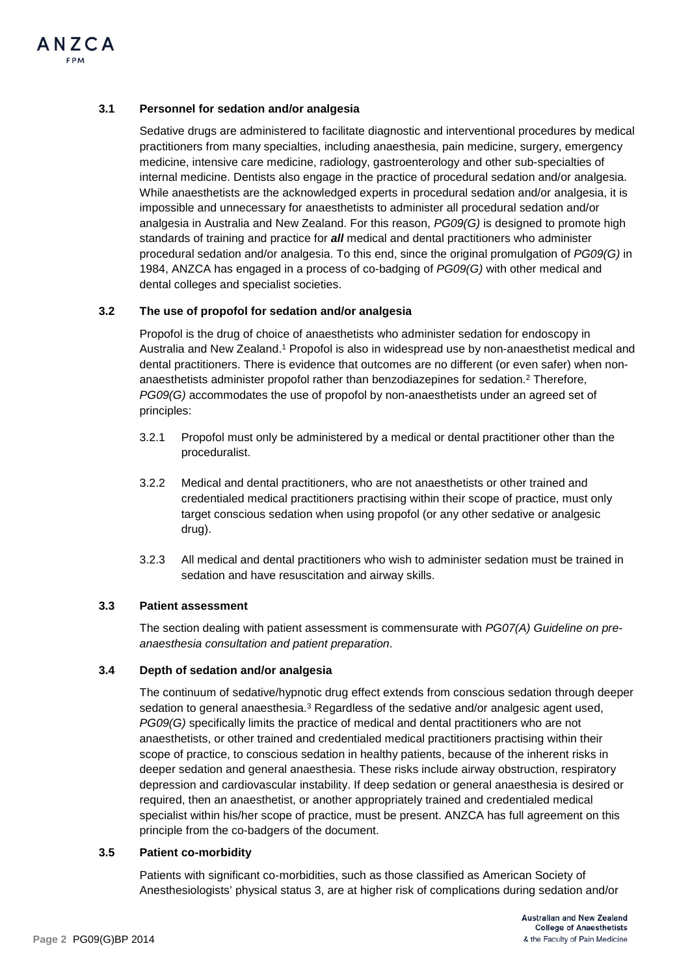#### **3.1 Personnel for sedation and/or analgesia**

Sedative drugs are administered to facilitate diagnostic and interventional procedures by medical practitioners from many specialties, including anaesthesia, pain medicine, surgery, emergency medicine, intensive care medicine, radiology, gastroenterology and other sub-specialties of internal medicine. Dentists also engage in the practice of procedural sedation and/or analgesia. While anaesthetists are the acknowledged experts in procedural sedation and/or analgesia, it is impossible and unnecessary for anaesthetists to administer all procedural sedation and/or analgesia in Australia and New Zealand. For this reason, *PG09(G)* is designed to promote high standards of training and practice for *all* medical and dental practitioners who administer procedural sedation and/or analgesia. To this end, since the original promulgation of *PG09(G)* in 1984, ANZCA has engaged in a process of co-badging of *PG09(G)* with other medical and dental colleges and specialist societies.

#### **3.2 The use of propofol for sedation and/or analgesia**

Propofol is the drug of choice of anaesthetists who administer sedation for endoscopy in Australia and New Zealand.1 Propofol is also in widespread use by non-anaesthetist medical and dental practitioners. There is evidence that outcomes are no different (or even safer) when nonanaesthetists administer propofol rather than benzodiazepines for sedation.2 Therefore, *PG09(G)* accommodates the use of propofol by non-anaesthetists under an agreed set of principles:

- 3.2.1 Propofol must only be administered by a medical or dental practitioner other than the proceduralist.
- 3.2.2 Medical and dental practitioners, who are not anaesthetists or other trained and credentialed medical practitioners practising within their scope of practice, must only target conscious sedation when using propofol (or any other sedative or analgesic drug).
- 3.2.3 All medical and dental practitioners who wish to administer sedation must be trained in sedation and have resuscitation and airway skills.

#### **3.3 Patient assessment**

The section dealing with patient assessment is commensurate with *PG07(A) Guideline on preanaesthesia consultation and patient preparation*.

#### **3.4 Depth of sedation and/or analgesia**

The continuum of sedative/hypnotic drug effect extends from conscious sedation through deeper sedation to general anaesthesia. $3$  Regardless of the sedative and/or analgesic agent used, *PG09(G)* specifically limits the practice of medical and dental practitioners who are not anaesthetists, or other trained and credentialed medical practitioners practising within their scope of practice, to conscious sedation in healthy patients, because of the inherent risks in deeper sedation and general anaesthesia. These risks include airway obstruction, respiratory depression and cardiovascular instability. If deep sedation or general anaesthesia is desired or required, then an anaesthetist, or another appropriately trained and credentialed medical specialist within his/her scope of practice, must be present. ANZCA has full agreement on this principle from the co-badgers of the document.

#### **3.5 Patient co-morbidity**

Patients with significant co-morbidities, such as those classified as American Society of Anesthesiologists' physical status 3, are at higher risk of complications during sedation and/or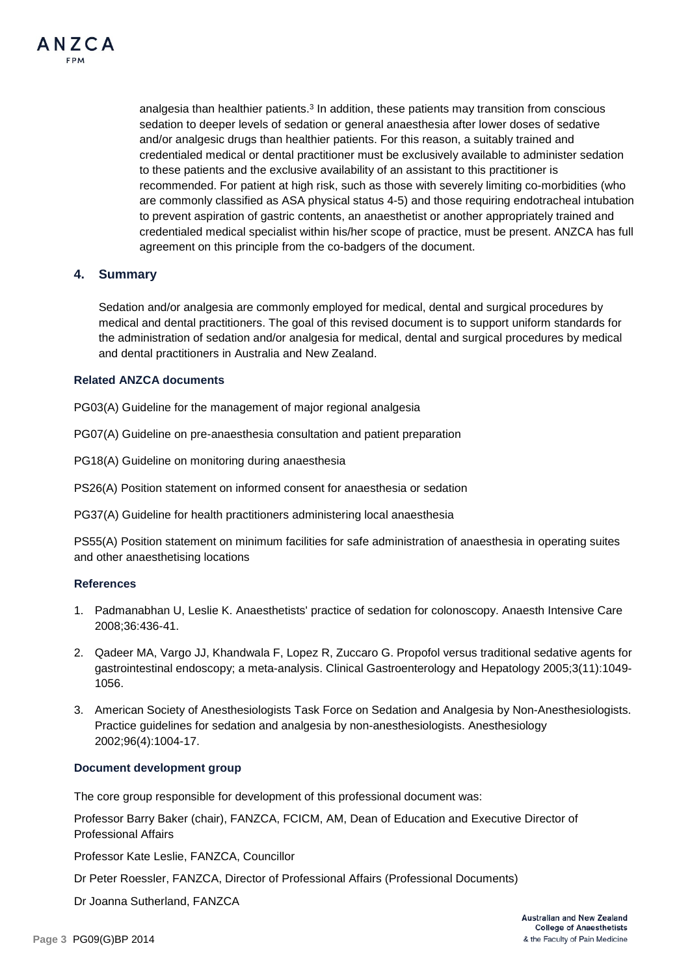

analgesia than healthier patients. $3 \text{ In addition, these patients may transition from conscious}$ sedation to deeper levels of sedation or general anaesthesia after lower doses of sedative and/or analgesic drugs than healthier patients. For this reason, a suitably trained and credentialed medical or dental practitioner must be exclusively available to administer sedation to these patients and the exclusive availability of an assistant to this practitioner is recommended. For patient at high risk, such as those with severely limiting co-morbidities (who are commonly classified as ASA physical status 4-5) and those requiring endotracheal intubation to prevent aspiration of gastric contents, an anaesthetist or another appropriately trained and credentialed medical specialist within his/her scope of practice, must be present. ANZCA has full agreement on this principle from the co-badgers of the document.

#### **4. Summary**

Sedation and/or analgesia are commonly employed for medical, dental and surgical procedures by medical and dental practitioners. The goal of this revised document is to support uniform standards for the administration of sedation and/or analgesia for medical, dental and surgical procedures by medical and dental practitioners in Australia and New Zealand.

#### **Related ANZCA documents**

PG03(A) Guideline for the management of major regional analgesia

PG07(A) Guideline on pre-anaesthesia consultation and patient preparation

PG18(A) Guideline on monitoring during anaesthesia

PS26(A) Position statement on informed consent for anaesthesia or sedation

PG37(A) Guideline for health practitioners administering local anaesthesia

PS55(A) Position statement on minimum facilities for safe administration of anaesthesia in operating suites and other anaesthetising locations

#### **References**

- 1. Padmanabhan U, Leslie K. Anaesthetists' practice of sedation for colonoscopy. Anaesth Intensive Care 2008;36:436-41.
- 2. Qadeer MA, Vargo JJ, Khandwala F, Lopez R, Zuccaro G. Propofol versus traditional sedative agents for gastrointestinal endoscopy; a meta-analysis. Clinical Gastroenterology and Hepatology 2005;3(11):1049- 1056.
- 3. American Society of Anesthesiologists Task Force on Sedation and Analgesia by Non-Anesthesiologists. Practice guidelines for sedation and analgesia by non-anesthesiologists. Anesthesiology 2002;96(4):1004-17.

#### **Document development group**

The core group responsible for development of this professional document was:

Professor Barry Baker (chair), FANZCA, FCICM, AM, Dean of Education and Executive Director of Professional Affairs

Professor Kate Leslie, FANZCA, Councillor

Dr Peter Roessler, FANZCA, Director of Professional Affairs (Professional Documents)

Dr Joanna Sutherland, FANZCA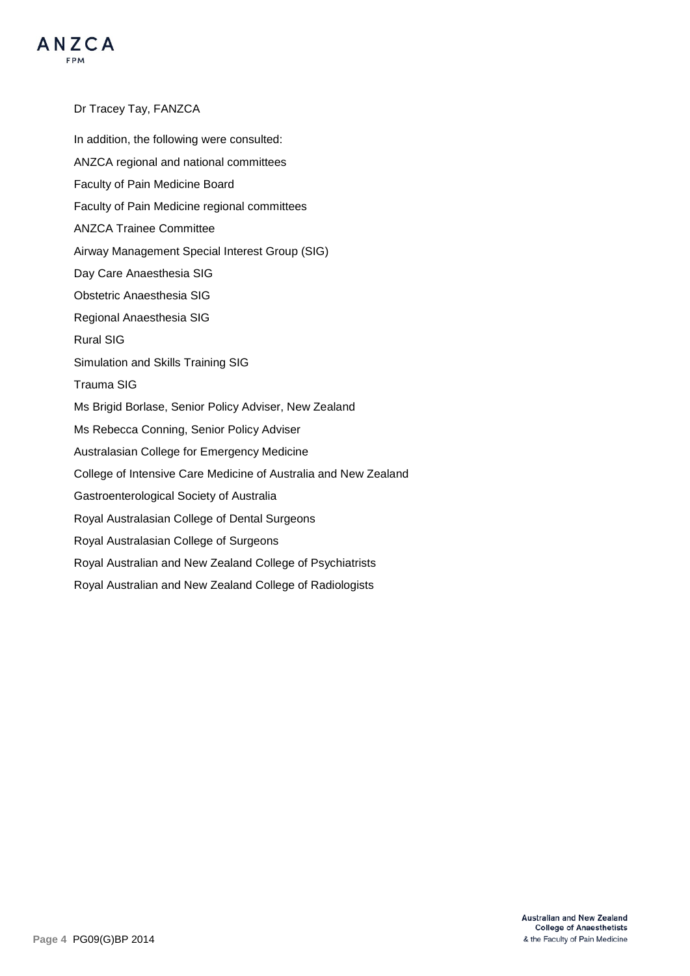

Dr Tracey Tay, FANZCA In addition, the following were consulted: ANZCA regional and national committees Faculty of Pain Medicine Board Faculty of Pain Medicine regional committees ANZCA Trainee Committee Airway Management Special Interest Group (SIG) Day Care Anaesthesia SIG Obstetric Anaesthesia SIG Regional Anaesthesia SIG Rural SIG Simulation and Skills Training SIG Trauma SIG Ms Brigid Borlase, Senior Policy Adviser, New Zealand Ms Rebecca Conning, Senior Policy Adviser Australasian College for Emergency Medicine College of Intensive Care Medicine of Australia and New Zealand Gastroenterological Society of Australia Royal Australasian College of Dental Surgeons Royal Australasian College of Surgeons Royal Australian and New Zealand College of Psychiatrists Royal Australian and New Zealand College of Radiologists